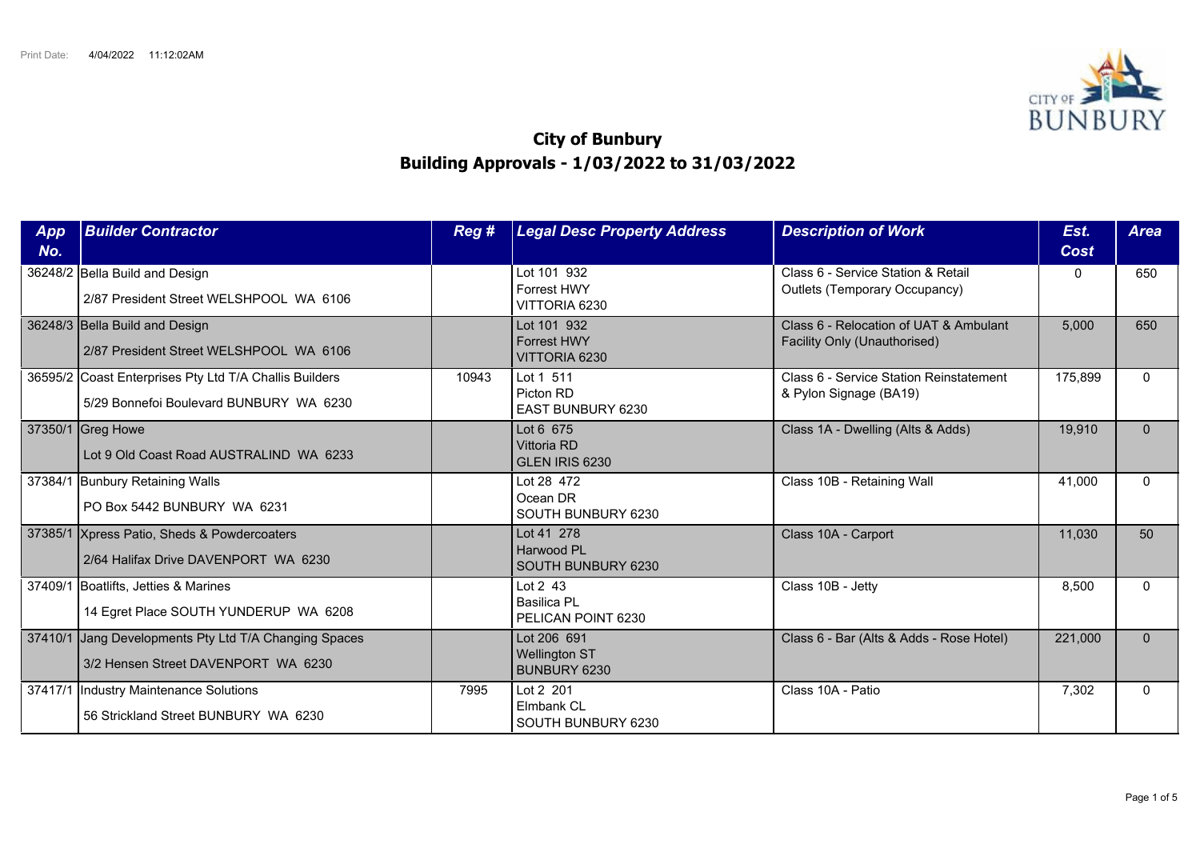

## **City of Bunbury Building Approvals - 1/03/2022 to 31/03/2022**

| App<br>No. | <b>Builder Contractor</b>                                                                         | Reg # | <b>Legal Desc Property Address</b>                   | <b>Description of Work</b>                                                 | Est.<br>Cost | <b>Area</b>  |
|------------|---------------------------------------------------------------------------------------------------|-------|------------------------------------------------------|----------------------------------------------------------------------------|--------------|--------------|
|            | 36248/2 Bella Build and Design<br>2/87 President Street WELSHPOOL WA 6106                         |       | Lot 101 932<br>Forrest HWY<br>VITTORIA 6230          | Class 6 - Service Station & Retail<br><b>Outlets (Temporary Occupancy)</b> | 0            | 650          |
|            | 36248/3 Bella Build and Design<br>2/87 President Street WELSHPOOL WA 6106                         |       | Lot 101 932<br><b>Forrest HWY</b><br>VITTORIA 6230   | Class 6 - Relocation of UAT & Ambulant<br>Facility Only (Unauthorised)     | 5,000        | 650          |
|            | 36595/2 Coast Enterprises Pty Ltd T/A Challis Builders<br>5/29 Bonnefoi Boulevard BUNBURY WA 6230 | 10943 | Lot 1 511<br>Picton RD<br><b>EAST BUNBURY 6230</b>   | Class 6 - Service Station Reinstatement<br>& Pylon Signage (BA19)          | 175,899      | $\Omega$     |
|            | 37350/1 Greg Howe<br>Lot 9 Old Coast Road AUSTRALIND WA 6233                                      |       | Lot 6 675<br>Vittoria RD<br>GLEN IRIS 6230           | Class 1A - Dwelling (Alts & Adds)                                          | 19,910       | $\Omega$     |
|            | 37384/1 Bunbury Retaining Walls<br>PO Box 5442 BUNBURY WA 6231                                    |       | Lot 28 472<br>Ocean DR<br>SOUTH BUNBURY 6230         | Class 10B - Retaining Wall                                                 | 41,000       | $\Omega$     |
|            | 37385/1 Xpress Patio, Sheds & Powdercoaters<br>2/64 Halifax Drive DAVENPORT WA 6230               |       | Lot 41 278<br>Harwood PL<br>SOUTH BUNBURY 6230       | Class 10A - Carport                                                        | 11,030       | 50           |
|            | 37409/1 Boatlifts, Jetties & Marines<br>14 Egret Place SOUTH YUNDERUP WA 6208                     |       | Lot 2 43<br><b>Basilica PL</b><br>PELICAN POINT 6230 | Class 10B - Jetty                                                          | 8,500        | $\Omega$     |
| 37410/1    | Jang Developments Pty Ltd T/A Changing Spaces<br>3/2 Hensen Street DAVENPORT WA 6230              |       | Lot 206 691<br><b>Wellington ST</b><br>BUNBURY 6230  | Class 6 - Bar (Alts & Adds - Rose Hotel)                                   | 221,000      | $\Omega$     |
|            | 37417/1  Industry Maintenance Solutions<br>56 Strickland Street BUNBURY WA 6230                   | 7995  | Lot 2 201<br>Elmbank CL<br>SOUTH BUNBURY 6230        | Class 10A - Patio                                                          | 7,302        | $\mathbf{0}$ |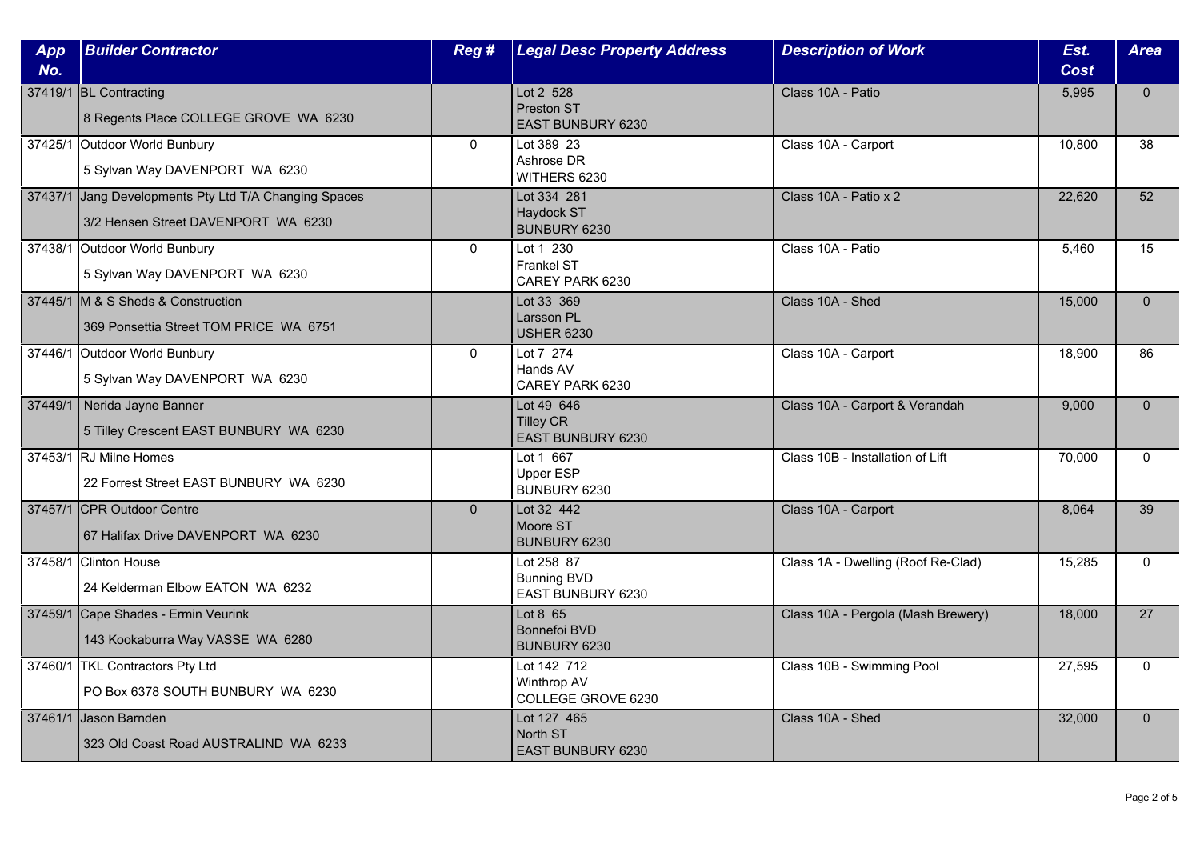| App<br>No. | <b>Builder Contractor</b>                                                                    | Reg #        | <b>Legal Desc Property Address</b>                           | <b>Description of Work</b>         | Est.<br>Cost | <b>Area</b>  |
|------------|----------------------------------------------------------------------------------------------|--------------|--------------------------------------------------------------|------------------------------------|--------------|--------------|
|            | 37419/1 BL Contracting<br>8 Regents Place COLLEGE GROVE WA 6230                              |              | Lot 2 528<br>Preston ST<br>EAST BUNBURY 6230                 | Class 10A - Patio                  | 5,995        | $\mathbf{0}$ |
|            | 37425/1 Outdoor World Bunbury<br>5 Sylvan Way DAVENPORT WA 6230                              | $\mathbf{0}$ | Lot 389 23<br>Ashrose DR<br>WITHERS 6230                     | Class 10A - Carport                | 10,800       | 38           |
|            | 37437/1 Jang Developments Pty Ltd T/A Changing Spaces<br>3/2 Hensen Street DAVENPORT WA 6230 |              | Lot 334 281<br>Haydock ST<br>BUNBURY 6230                    | Class 10A - Patio x 2              | 22,620       | 52           |
|            | 37438/1 Outdoor World Bunbury<br>5 Sylvan Way DAVENPORT WA 6230                              | $\mathbf{0}$ | Lot 1 230<br>Frankel ST<br>CAREY PARK 6230                   | Class 10A - Patio                  | 5,460        | 15           |
|            | 37445/1 M & S Sheds & Construction<br>369 Ponsettia Street TOM PRICE WA 6751                 |              | Lot 33 369<br>Larsson PL<br><b>USHER 6230</b>                | Class 10A - Shed                   | 15,000       | $\Omega$     |
|            | 37446/1 Outdoor World Bunbury<br>5 Sylvan Way DAVENPORT WA 6230                              | $\mathbf{0}$ | Lot 7 274<br>Hands AV<br>CAREY PARK 6230                     | Class 10A - Carport                | 18,900       | 86           |
|            | 37449/1 Nerida Jayne Banner<br>5 Tilley Crescent EAST BUNBURY WA 6230                        |              | Lot 49 646<br><b>Tilley CR</b><br><b>EAST BUNBURY 6230</b>   | Class 10A - Carport & Verandah     | 9,000        | $\mathbf{0}$ |
|            | 37453/1 RJ Milne Homes<br>22 Forrest Street EAST BUNBURY WA 6230                             |              | Lot 1 667<br><b>Upper ESP</b><br>BUNBURY 6230                | Class 10B - Installation of Lift   | 70,000       | $\mathbf{0}$ |
|            | 37457/1 CPR Outdoor Centre<br>67 Halifax Drive DAVENPORT WA 6230                             | $\Omega$     | Lot 32 442<br>Moore ST<br>BUNBURY 6230                       | Class 10A - Carport                | 8,064        | 39           |
|            | 37458/1 Clinton House<br>24 Kelderman Elbow EATON WA 6232                                    |              | Lot 258 87<br><b>Bunning BVD</b><br><b>EAST BUNBURY 6230</b> | Class 1A - Dwelling (Roof Re-Clad) | 15,285       | $\mathbf{0}$ |
|            | 37459/1 Cape Shades - Ermin Veurink<br>143 Kookaburra Way VASSE WA 6280                      |              | Lot 8 65<br><b>Bonnefoi BVD</b><br>BUNBURY 6230              | Class 10A - Pergola (Mash Brewery) | 18,000       | 27           |
|            | 37460/1 TKL Contractors Pty Ltd<br>PO Box 6378 SOUTH BUNBURY WA 6230                         |              | Lot 142 712<br>Winthrop AV<br>COLLEGE GROVE 6230             | Class 10B - Swimming Pool          | 27,595       | $\Omega$     |
|            | 37461/1 Jason Barnden<br>323 Old Coast Road AUSTRALIND WA 6233                               |              | Lot 127 465<br>North ST<br>EAST BUNBURY 6230                 | Class 10A - Shed                   | 32,000       | $\mathbf{0}$ |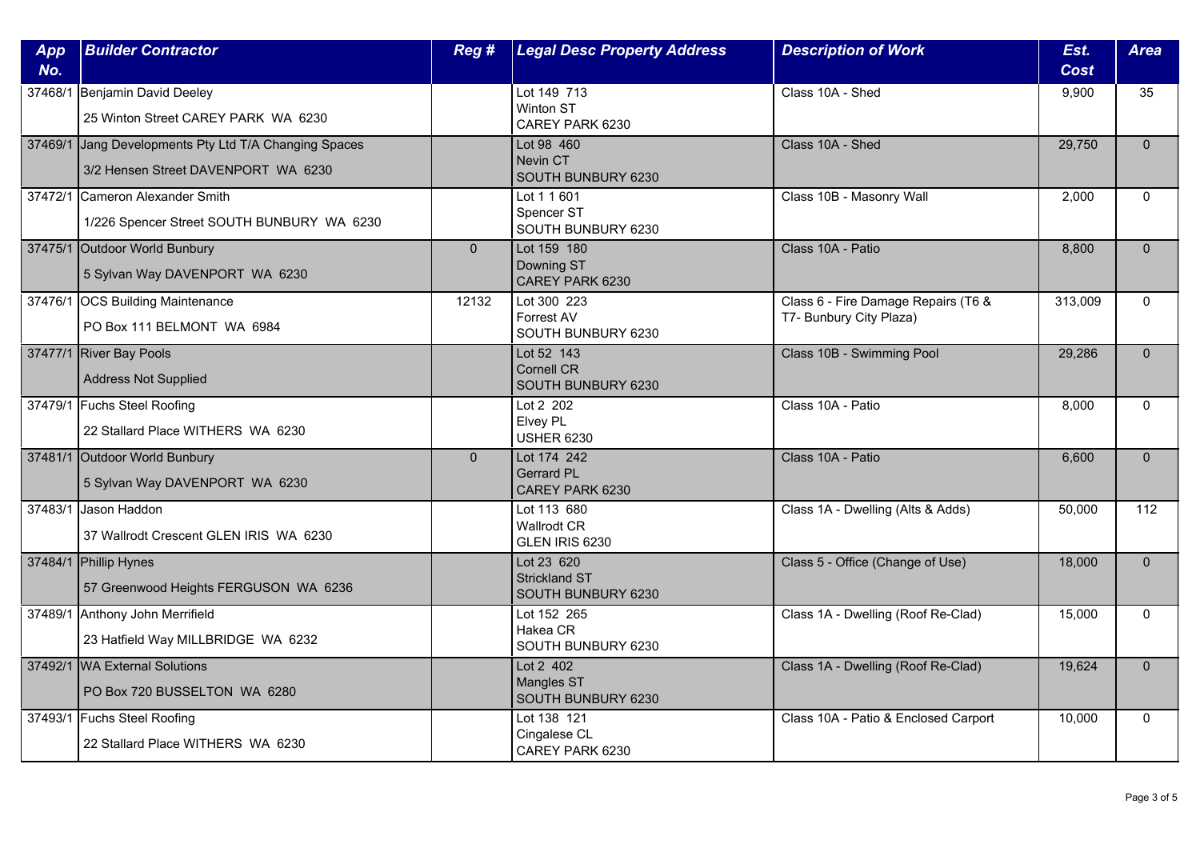| App<br>No. | <b>Builder Contractor</b>                                                                    | Reg#           | <b>Legal Desc Property Address</b>                       | <b>Description of Work</b>                                     | Est.<br>Cost | <b>Area</b>  |
|------------|----------------------------------------------------------------------------------------------|----------------|----------------------------------------------------------|----------------------------------------------------------------|--------------|--------------|
| 37468/1    | Benjamin David Deeley<br>25 Winton Street CAREY PARK WA 6230                                 |                | Lot 149 713<br>Winton ST<br>CAREY PARK 6230              | Class 10A - Shed                                               | 9,900        | 35           |
|            | 37469/1 Jang Developments Pty Ltd T/A Changing Spaces<br>3/2 Hensen Street DAVENPORT WA 6230 |                | Lot 98 460<br>Nevin CT<br>SOUTH BUNBURY 6230             | Class 10A - Shed                                               | 29.750       | $\Omega$     |
|            | 37472/1 Cameron Alexander Smith<br>1/226 Spencer Street SOUTH BUNBURY WA 6230                |                | Lot 1 1 601<br>Spencer ST<br>SOUTH BUNBURY 6230          | Class 10B - Masonry Wall                                       | 2,000        | $\mathbf{0}$ |
|            | 37475/1 Outdoor World Bunbury<br>5 Sylvan Way DAVENPORT WA 6230                              | $\overline{0}$ | Lot 159 180<br>Downing ST<br>CAREY PARK 6230             | Class 10A - Patio                                              | 8,800        | $\mathbf{0}$ |
|            | 37476/1 OCS Building Maintenance<br>PO Box 111 BELMONT WA 6984                               | 12132          | Lot 300 223<br>Forrest AV<br>SOUTH BUNBURY 6230          | Class 6 - Fire Damage Repairs (T6 &<br>T7- Bunbury City Plaza) | 313,009      | $\Omega$     |
|            | 37477/1 River Bay Pools<br><b>Address Not Supplied</b>                                       |                | Lot 52 143<br><b>Cornell CR</b><br>SOUTH BUNBURY 6230    | Class 10B - Swimming Pool                                      | 29,286       | $\Omega$     |
|            | 37479/1 Fuchs Steel Roofing<br>22 Stallard Place WITHERS WA 6230                             |                | Lot 2 202<br>Elvey PL<br><b>USHER 6230</b>               | Class 10A - Patio                                              | 8,000        | $\mathbf 0$  |
|            | 37481/1 Outdoor World Bunbury<br>5 Sylvan Way DAVENPORT WA 6230                              | $\overline{0}$ | Lot 174 242<br><b>Gerrard PL</b><br>CAREY PARK 6230      | Class 10A - Patio                                              | 6,600        | $\mathbf{0}$ |
|            | 37483/1 Jason Haddon<br>37 Wallrodt Crescent GLEN IRIS WA 6230                               |                | Lot 113 680<br><b>Wallrodt CR</b><br>GLEN IRIS 6230      | Class 1A - Dwelling (Alts & Adds)                              | 50,000       | 112          |
|            | 37484/1 Phillip Hynes<br>57 Greenwood Heights FERGUSON WA 6236                               |                | Lot 23 620<br><b>Strickland ST</b><br>SOUTH BUNBURY 6230 | Class 5 - Office (Change of Use)                               | 18,000       | $\mathbf{0}$ |
|            | 37489/1 Anthony John Merrifield<br>23 Hatfield Way MILLBRIDGE WA 6232                        |                | Lot 152 265<br>Hakea CR<br>SOUTH BUNBURY 6230            | Class 1A - Dwelling (Roof Re-Clad)                             | 15,000       | $\mathbf{0}$ |
|            | 37492/1 WA External Solutions<br>PO Box 720 BUSSELTON WA 6280                                |                | Lot 2 402<br><b>Mangles ST</b><br>SOUTH BUNBURY 6230     | Class 1A - Dwelling (Roof Re-Clad)                             | 19,624       | $\Omega$     |
|            | 37493/1 Fuchs Steel Roofing<br>22 Stallard Place WITHERS WA 6230                             |                | Lot 138 121<br>Cingalese CL<br>CAREY PARK 6230           | Class 10A - Patio & Enclosed Carport                           | 10,000       | $\mathbf{0}$ |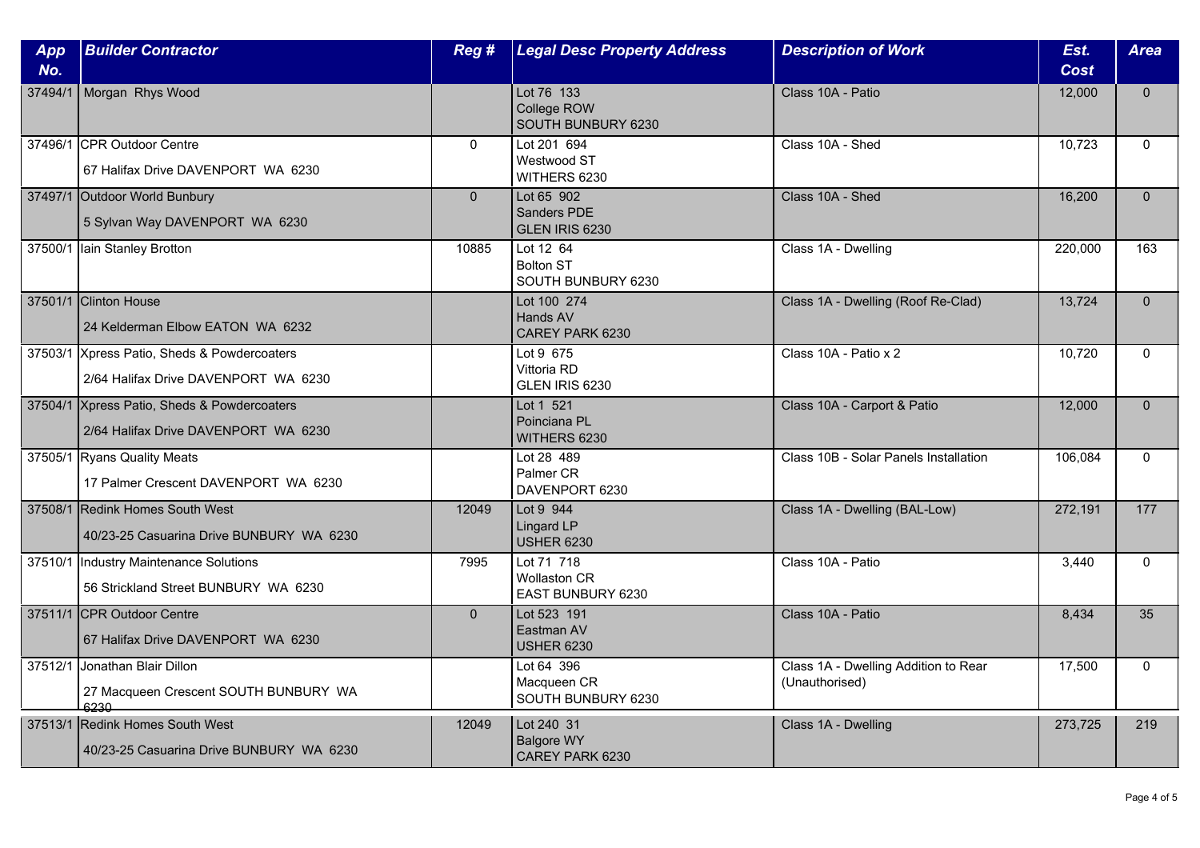| App<br>No. | <b>Builder Contractor</b>                                                           | Reg #          | <b>Legal Desc Property Address</b>                     | <b>Description of Work</b>                             | Est.<br>Cost | <b>Area</b>  |
|------------|-------------------------------------------------------------------------------------|----------------|--------------------------------------------------------|--------------------------------------------------------|--------------|--------------|
| 37494/1    | Morgan Rhys Wood                                                                    |                | Lot 76 133<br>College ROW<br>SOUTH BUNBURY 6230        | Class 10A - Patio                                      | 12,000       | $\mathbf{0}$ |
|            | 37496/1 CPR Outdoor Centre<br>67 Halifax Drive DAVENPORT WA 6230                    | $\Omega$       | Lot 201 694<br>Westwood ST<br>WITHERS 6230             | Class 10A - Shed                                       | 10,723       | $\Omega$     |
|            | 37497/1 Outdoor World Bunbury<br>5 Sylvan Way DAVENPORT WA 6230                     | $\overline{0}$ | Lot 65 902<br><b>Sanders PDE</b><br>GLEN IRIS 6230     | Class 10A - Shed                                       | 16,200       | $\Omega$     |
|            | 37500/1 Iain Stanley Brotton                                                        | 10885          | Lot 12 64<br><b>Bolton ST</b><br>SOUTH BUNBURY 6230    | Class 1A - Dwelling                                    | 220,000      | 163          |
|            | 37501/1 Clinton House<br>24 Kelderman Elbow EATON WA 6232                           |                | Lot 100 274<br>Hands AV<br>CAREY PARK 6230             | Class 1A - Dwelling (Roof Re-Clad)                     | 13,724       | $\Omega$     |
|            | 37503/1 Xpress Patio, Sheds & Powdercoaters<br>2/64 Halifax Drive DAVENPORT WA 6230 |                | Lot 9 675<br>Vittoria RD<br>GLEN IRIS 6230             | Class 10A - Patio x 2                                  | 10,720       | $\mathbf{0}$ |
|            | 37504/1 Xpress Patio, Sheds & Powdercoaters<br>2/64 Halifax Drive DAVENPORT WA 6230 |                | Lot 1 521<br>Poinciana PL<br>WITHERS 6230              | Class 10A - Carport & Patio                            | 12,000       | $\mathbf{0}$ |
|            | 37505/1 Ryans Quality Meats<br>17 Palmer Crescent DAVENPORT WA 6230                 |                | Lot 28 489<br>Palmer CR<br>DAVENPORT 6230              | Class 10B - Solar Panels Installation                  | 106,084      | $\mathbf{0}$ |
|            | 37508/1 Redink Homes South West<br>40/23-25 Casuarina Drive BUNBURY WA 6230         | 12049          | Lot 9 944<br>Lingard LP<br><b>USHER 6230</b>           | Class 1A - Dwelling (BAL-Low)                          | 272,191      | 177          |
|            | 37510/1  Industry Maintenance Solutions<br>56 Strickland Street BUNBURY WA 6230     | 7995           | Lot 71 718<br><b>Wollaston CR</b><br>EAST BUNBURY 6230 | Class 10A - Patio                                      | 3,440        | $\mathbf 0$  |
|            | 37511/1 CPR Outdoor Centre<br>67 Halifax Drive DAVENPORT WA 6230                    | $\overline{0}$ | Lot 523 191<br>Eastman AV<br><b>USHER 6230</b>         | Class 10A - Patio                                      | 8,434        | 35           |
|            | 37512/1 Jonathan Blair Dillon<br>27 Macqueen Crescent SOUTH BUNBURY WA<br>ಆಕರ್ಷ     |                | Lot 64 396<br>Macqueen CR<br>SOUTH BUNBURY 6230        | Class 1A - Dwelling Addition to Rear<br>(Unauthorised) | 17,500       | $\mathbf{0}$ |
|            | 37513/1 Redink Homes South West<br>40/23-25 Casuarina Drive BUNBURY WA 6230         | 12049          | Lot 240 31<br><b>Balgore WY</b><br>CAREY PARK 6230     | Class 1A - Dwelling                                    | 273,725      | 219          |